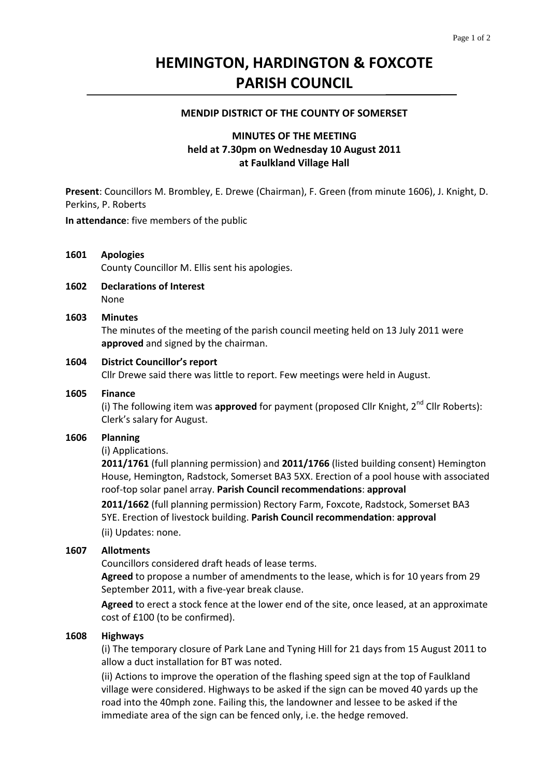# **HEMINGTON, HARDINGTON & FOXCOTE PARISH COUNCIL**

#### **MENDIP DISTRICT OF THE COUNTY OF SOMERSET**

# **MINUTES OF THE MEETING held at 7.30pm on Wednesday 10 August 2011 at Faulkland Village Hall**

**Present**: Councillors M. Brombley, E. Drewe (Chairman), F. Green (from minute 1606), J. Knight, D. Perkins, P. Roberts

**In attendance**: five members of the public

### **1601 Apologies**

County Councillor M. Ellis sent his apologies.

#### **1602 Declarations of Interest** None

#### **1603 Minutes**

 The minutes of the meeting of the parish council meeting held on 13 July 2011 were **approved** and signed by the chairman.

#### **1604 District Councillor's report**

Cllr Drewe said there was little to report. Few meetings were held in August.

#### **1605 Finance**

(i) The following item was approved for payment (proposed Cllr Knight, 2<sup>nd</sup> Cllr Roberts): Clerk's salary for August.

#### **1606 Planning**

#### (i) Applications.

**2011/1761** (full planning permission) and **2011/1766** (listed building consent) Hemington House, Hemington, Radstock, Somerset BA3 5XX. Erection of a pool house with associated roof‐top solar panel array. **Parish Council recommendations**: **approval**

 **2011/1662** (full planning permission) Rectory Farm, Foxcote, Radstock, Somerset BA3 5YE. Erection of livestock building. **Parish Council recommendation**: **approval**  (ii) Updates: none.

### **1607 Allotments**

Councillors considered draft heads of lease terms.

**Agreed** to propose a number of amendments to the lease, which is for 10 years from 29 September 2011, with a five‐year break clause.

**Agreed** to erect a stock fence at the lower end of the site, once leased, at an approximate cost of £100 (to be confirmed).

### **1608 Highways**

(i) The temporary closure of Park Lane and Tyning Hill for 21 days from 15 August 2011 to allow a duct installation for BT was noted.

 (ii) Actions to improve the operation of the flashing speed sign at the top of Faulkland village were considered. Highways to be asked if the sign can be moved 40 yards up the road into the 40mph zone. Failing this, the landowner and lessee to be asked if the immediate area of the sign can be fenced only, i.e. the hedge removed.